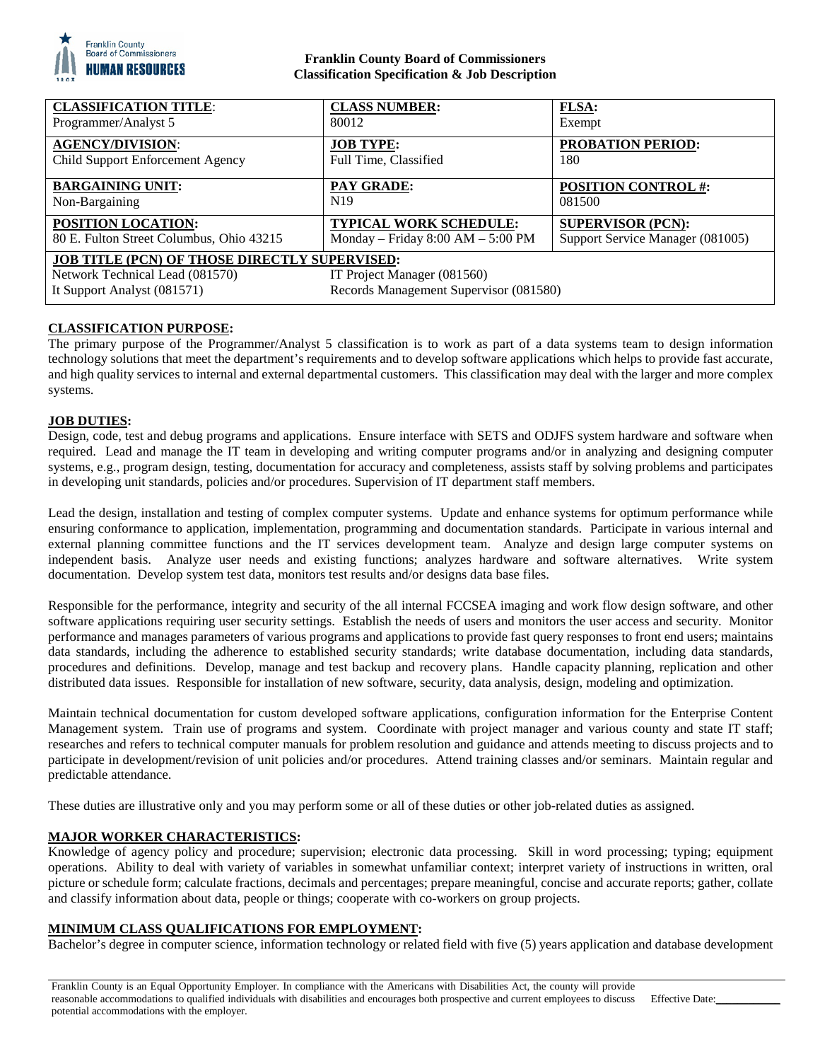

## **Franklin County Board of Commissioners Classification Specification & Job Description**

| <b>CLASSIFICATION TITLE:</b>                                                                                                                                                                    | <b>CLASS NUMBER:</b>                | <b>FLSA:</b>                     |
|-------------------------------------------------------------------------------------------------------------------------------------------------------------------------------------------------|-------------------------------------|----------------------------------|
| Programmer/Analyst 5                                                                                                                                                                            | 80012                               | Exempt                           |
| <b>AGENCY/DIVISION:</b>                                                                                                                                                                         | <b>JOB TYPE:</b>                    | <b>PROBATION PERIOD:</b>         |
| Child Support Enforcement Agency                                                                                                                                                                | Full Time, Classified               | 180                              |
| <b>BARGAINING UNIT:</b>                                                                                                                                                                         | <b>PAY GRADE:</b>                   | <b>POSITION CONTROL #:</b>       |
| Non-Bargaining                                                                                                                                                                                  | N <sub>19</sub>                     | 081500                           |
| POSITION LOCATION:                                                                                                                                                                              | <b>TYPICAL WORK SCHEDULE:</b>       | <b>SUPERVISOR (PCN):</b>         |
| 80 E. Fulton Street Columbus, Ohio 43215                                                                                                                                                        | Monday – Friday $8:00 AM - 5:00 PM$ | Support Service Manager (081005) |
| <b>JOB TITLE (PCN) OF THOSE DIRECTLY SUPERVISED:</b><br>Network Technical Lead (081570)<br>IT Project Manager (081560)<br>Records Management Supervisor (081580)<br>It Support Analyst (081571) |                                     |                                  |

# **CLASSIFICATION PURPOSE:**

The primary purpose of the Programmer/Analyst 5 classification is to work as part of a data systems team to design information technology solutions that meet the department's requirements and to develop software applications which helps to provide fast accurate, and high quality services to internal and external departmental customers. This classification may deal with the larger and more complex systems.

# **JOB DUTIES:**

Design, code, test and debug programs and applications. Ensure interface with SETS and ODJFS system hardware and software when required. Lead and manage the IT team in developing and writing computer programs and/or in analyzing and designing computer systems, e.g., program design, testing, documentation for accuracy and completeness, assists staff by solving problems and participates in developing unit standards, policies and/or procedures. Supervision of IT department staff members.

Lead the design, installation and testing of complex computer systems. Update and enhance systems for optimum performance while ensuring conformance to application, implementation, programming and documentation standards. Participate in various internal and external planning committee functions and the IT services development team. Analyze and design large computer systems on independent basis. Analyze user needs and existing functions; analyzes hardware and software alternatives. Write system documentation. Develop system test data, monitors test results and/or designs data base files.

Responsible for the performance, integrity and security of the all internal FCCSEA imaging and work flow design software, and other software applications requiring user security settings. Establish the needs of users and monitors the user access and security. Monitor performance and manages parameters of various programs and applications to provide fast query responses to front end users; maintains data standards, including the adherence to established security standards; write database documentation, including data standards, procedures and definitions. Develop, manage and test backup and recovery plans. Handle capacity planning, replication and other distributed data issues. Responsible for installation of new software, security, data analysis, design, modeling and optimization.

Maintain technical documentation for custom developed software applications, configuration information for the Enterprise Content Management system. Train use of programs and system. Coordinate with project manager and various county and state IT staff; researches and refers to technical computer manuals for problem resolution and guidance and attends meeting to discuss projects and to participate in development/revision of unit policies and/or procedures. Attend training classes and/or seminars. Maintain regular and predictable attendance.

These duties are illustrative only and you may perform some or all of these duties or other job-related duties as assigned.

## **MAJOR WORKER CHARACTERISTICS:**

Knowledge of agency policy and procedure; supervision; electronic data processing. Skill in word processing; typing; equipment operations. Ability to deal with variety of variables in somewhat unfamiliar context; interpret variety of instructions in written, oral picture or schedule form; calculate fractions, decimals and percentages; prepare meaningful, concise and accurate reports; gather, collate and classify information about data, people or things; cooperate with co-workers on group projects.

## **MINIMUM CLASS QUALIFICATIONS FOR EMPLOYMENT:**

Bachelor's degree in computer science, information technology or related field with five (5) years application and database development